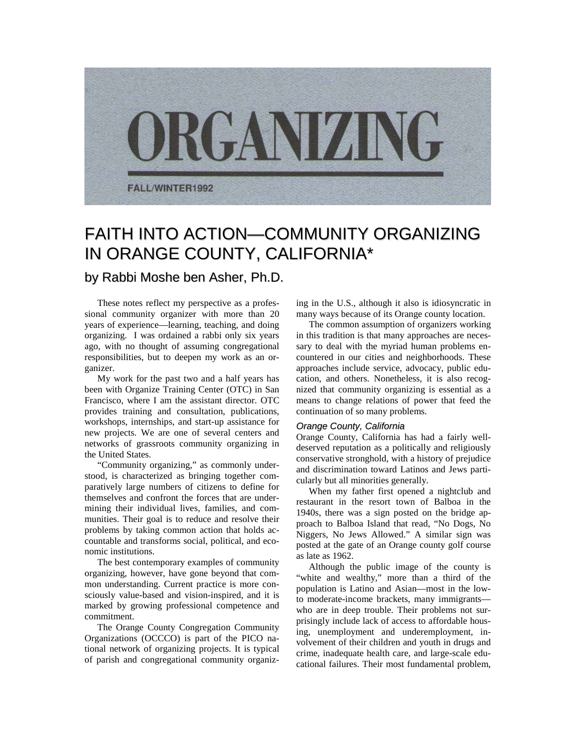

# FAITH INTO ACTION—COMMUNITY ORGANIZING IN ORANGE COUNTY, CALIFORNIA\*

## by Rabbi Moshe ben Asher, Ph.D.

These notes reflect my perspective as a professional community organizer with more than 20 years of experience—learning, teaching, and doing organizing. I was ordained a rabbi only six years ago, with no thought of assuming congregational responsibilities, but to deepen my work as an organizer.

My work for the past two and a half years has been with Organize Training Center (OTC) in San Francisco, where I am the assistant director. OTC provides training and consultation, publications, workshops, internships, and start-up assistance for new projects. We are one of several centers and networks of grassroots community organizing in the United States.

"Community organizing," as commonly understood, is characterized as bringing together comparatively large numbers of citizens to define for themselves and confront the forces that are undermining their individual lives, families, and communities. Their goal is to reduce and resolve their problems by taking common action that holds accountable and transforms social, political, and economic institutions.

The best contemporary examples of community organizing, however, have gone beyond that common understanding. Current practice is more consciously value-based and vision-inspired, and it is marked by growing professional competence and commitment.

The Orange County Congregation Community Organizations (OCCCO) is part of the PICO national network of organizing projects. It is typical of parish and congregational community organizing in the U.S., although it also is idiosyncratic in many ways because of its Orange county location.

The common assumption of organizers working in this tradition is that many approaches are necessary to deal with the myriad human problems encountered in our cities and neighborhoods. These approaches include service, advocacy, public education, and others. Nonetheless, it is also recognized that community organizing is essential as a means to change relations of power that feed the continuation of so many problems.

#### *Orange County, California*

Orange County, California has had a fairly welldeserved reputation as a politically and religiously conservative stronghold, with a history of prejudice and discrimination toward Latinos and Jews particularly but all minorities generally.

When my father first opened a nightclub and restaurant in the resort town of Balboa in the 1940s, there was a sign posted on the bridge approach to Balboa Island that read, "No Dogs, No Niggers, No Jews Allowed." A similar sign was posted at the gate of an Orange county golf course as late as 1962.

Although the public image of the county is "white and wealthy," more than a third of the population is Latino and Asian—most in the lowto moderate-income brackets, many immigrants who are in deep trouble. Their problems not surprisingly include lack of access to affordable housing, unemployment and underemployment, involvement of their children and youth in drugs and crime, inadequate health care, and large-scale educational failures. Their most fundamental problem,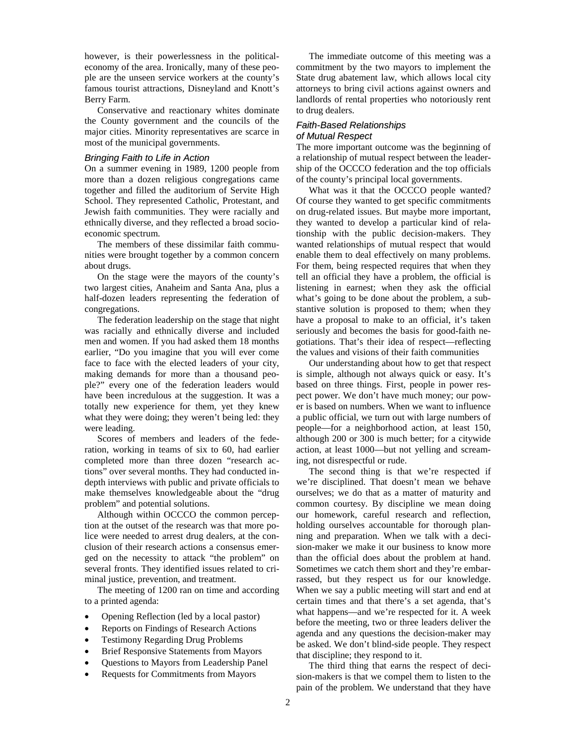however, is their powerlessness in the politicaleconomy of the area. Ironically, many of these people are the unseen service workers at the county's famous tourist attractions, Disneyland and Knott's Berry Farm.

Conservative and reactionary whites dominate the County government and the councils of the major cities. Minority representatives are scarce in most of the municipal governments.

#### *Bringing Faith to Life in Action*

On a summer evening in 1989, 1200 people from more than a dozen religious congregations came together and filled the auditorium of Servite High School. They represented Catholic, Protestant, and Jewish faith communities. They were racially and ethnically diverse, and they reflected a broad socioeconomic spectrum.

The members of these dissimilar faith communities were brought together by a common concern about drugs.

On the stage were the mayors of the county's two largest cities, Anaheim and Santa Ana, plus a half-dozen leaders representing the federation of congregations.

The federation leadership on the stage that night was racially and ethnically diverse and included men and women. If you had asked them 18 months earlier, "Do you imagine that you will ever come face to face with the elected leaders of your city, making demands for more than a thousand people?" every one of the federation leaders would have been incredulous at the suggestion. It was a totally new experience for them, yet they knew what they were doing; they weren't being led: they were leading.

Scores of members and leaders of the federation, working in teams of six to 60, had earlier completed more than three dozen "research actions" over several months. They had conducted indepth interviews with public and private officials to make themselves knowledgeable about the "drug problem" and potential solutions.

Although within OCCCO the common perception at the outset of the research was that more police were needed to arrest drug dealers, at the conclusion of their research actions a consensus emerged on the necessity to attack "the problem" on several fronts. They identified issues related to criminal justice, prevention, and treatment.

The meeting of 1200 ran on time and according to a printed agenda:

- Opening Reflection (led by a local pastor)
- Reports on Findings of Research Actions
- Testimony Regarding Drug Problems
- Brief Responsive Statements from Mayors
- Questions to Mayors from Leadership Panel
- Requests for Commitments from Mayors

The immediate outcome of this meeting was a commitment by the two mayors to implement the State drug abatement law, which allows local city attorneys to bring civil actions against owners and landlords of rental properties who notoriously rent to drug dealers.

#### *Faith-Based Relationships of Mutual Respect*

The more important outcome was the beginning of a relationship of mutual respect between the leadership of the OCCCO federation and the top officials of the county's principal local governments.

What was it that the OCCCO people wanted? Of course they wanted to get specific commitments on drug-related issues. But maybe more important, they wanted to develop a particular kind of relationship with the public decision-makers. They wanted relationships of mutual respect that would enable them to deal effectively on many problems. For them, being respected requires that when they tell an official they have a problem, the official is listening in earnest; when they ask the official what's going to be done about the problem, a substantive solution is proposed to them; when they have a proposal to make to an official, it's taken seriously and becomes the basis for good-faith negotiations. That's their idea of respect—reflecting the values and visions of their faith communities

Our understanding about how to get that respect is simple, although not always quick or easy. It's based on three things. First, people in power respect power. We don't have much money; our power is based on numbers. When we want to influence a public official, we turn out with large numbers of people—for a neighborhood action, at least 150, although 200 or 300 is much better; for a citywide action, at least 1000—but not yelling and screaming, not disrespectful or rude.

The second thing is that we're respected if we're disciplined. That doesn't mean we behave ourselves; we do that as a matter of maturity and common courtesy. By discipline we mean doing our homework, careful research and reflection, holding ourselves accountable for thorough planning and preparation. When we talk with a decision-maker we make it our business to know more than the official does about the problem at hand. Sometimes we catch them short and they're embarrassed, but they respect us for our knowledge. When we say a public meeting will start and end at certain times and that there's a set agenda, that's what happens—and we're respected for it. A week before the meeting, two or three leaders deliver the agenda and any questions the decision-maker may be asked. We don't blind-side people. They respect that discipline; they respond to it.

The third thing that earns the respect of decision-makers is that we compel them to listen to the pain of the problem. We understand that they have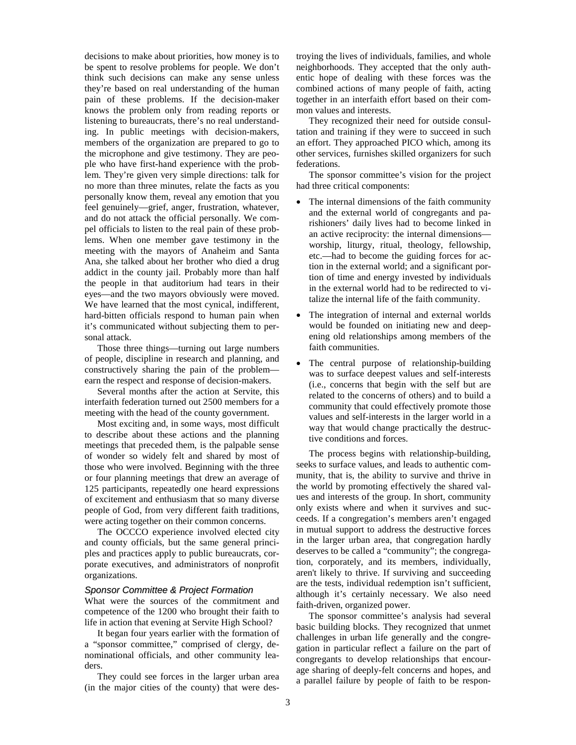decisions to make about priorities, how money is to be spent to resolve problems for people. We don't think such decisions can make any sense unless they're based on real understanding of the human pain of these problems. If the decision-maker knows the problem only from reading reports or listening to bureaucrats, there's no real understanding. In public meetings with decision-makers, members of the organization are prepared to go to the microphone and give testimony. They are people who have first-hand experience with the problem. They're given very simple directions: talk for no more than three minutes, relate the facts as you personally know them, reveal any emotion that you feel genuinely—grief, anger, frustration, whatever, and do not attack the official personally. We compel officials to listen to the real pain of these problems. When one member gave testimony in the meeting with the mayors of Anaheim and Santa Ana, she talked about her brother who died a drug addict in the county jail. Probably more than half the people in that auditorium had tears in their eyes—and the two mayors obviously were moved. We have learned that the most cynical, indifferent, hard-bitten officials respond to human pain when it's communicated without subjecting them to personal attack.

Those three things—turning out large numbers of people, discipline in research and planning, and constructively sharing the pain of the problem earn the respect and response of decision-makers.

Several months after the action at Servite, this interfaith federation turned out 2500 members for a meeting with the head of the county government.

Most exciting and, in some ways, most difficult to describe about these actions and the planning meetings that preceded them, is the palpable sense of wonder so widely felt and shared by most of those who were involved. Beginning with the three or four planning meetings that drew an average of 125 participants, repeatedly one heard expressions of excitement and enthusiasm that so many diverse people of God, from very different faith traditions, were acting together on their common concerns.

The OCCCO experience involved elected city and county officials, but the same general principles and practices apply to public bureaucrats, corporate executives, and administrators of nonprofit organizations.

#### *Sponsor Committee & Project Formation*

What were the sources of the commitment and competence of the 1200 who brought their faith to life in action that evening at Servite High School?

It began four years earlier with the formation of a "sponsor committee," comprised of clergy, denominational officials, and other community leaders.

They could see forces in the larger urban area (in the major cities of the county) that were destroying the lives of individuals, families, and whole neighborhoods. They accepted that the only authentic hope of dealing with these forces was the combined actions of many people of faith, acting together in an interfaith effort based on their common values and interests.

They recognized their need for outside consultation and training if they were to succeed in such an effort. They approached PICO which, among its other services, furnishes skilled organizers for such federations.

The sponsor committee's vision for the project had three critical components:

- The internal dimensions of the faith community and the external world of congregants and parishioners' daily lives had to become linked in an active reciprocity: the internal dimensions worship, liturgy, ritual, theology, fellowship, etc.—had to become the guiding forces for action in the external world; and a significant portion of time and energy invested by individuals in the external world had to be redirected to vitalize the internal life of the faith community.
- The integration of internal and external worlds would be founded on initiating new and deepening old relationships among members of the faith communities.
- The central purpose of relationship-building was to surface deepest values and self-interests (i.e., concerns that begin with the self but are related to the concerns of others) and to build a community that could effectively promote those values and self-interests in the larger world in a way that would change practically the destructive conditions and forces.

The process begins with relationship-building, seeks to surface values, and leads to authentic community, that is, the ability to survive and thrive in the world by promoting effectively the shared values and interests of the group. In short, community only exists where and when it survives and succeeds. If a congregation's members aren't engaged in mutual support to address the destructive forces in the larger urban area, that congregation hardly deserves to be called a "community"; the congregation, corporately, and its members, individually, aren't likely to thrive. If surviving and succeeding are the tests, individual redemption isn't sufficient, although it's certainly necessary. We also need faith-driven, organized power.

The sponsor committee's analysis had several basic building blocks. They recognized that unmet challenges in urban life generally and the congregation in particular reflect a failure on the part of congregants to develop relationships that encourage sharing of deeply-felt concerns and hopes, and a parallel failure by people of faith to be respon-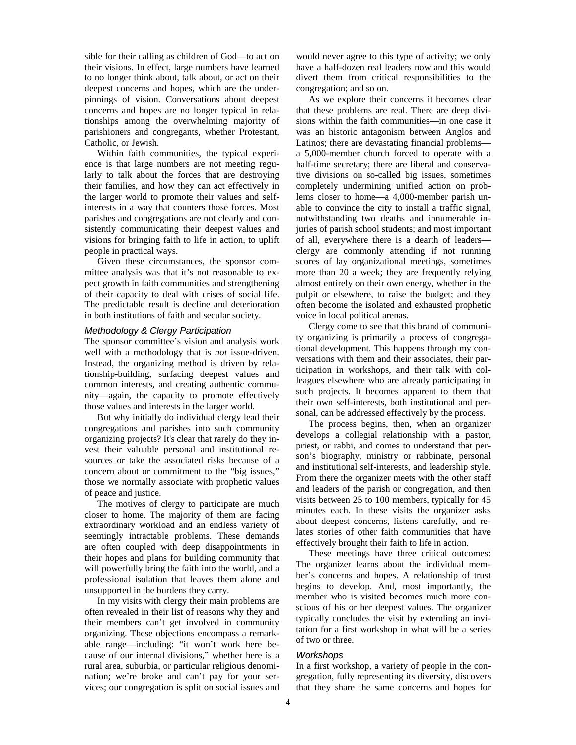sible for their calling as children of God—to act on their visions. In effect, large numbers have learned to no longer think about, talk about, or act on their deepest concerns and hopes, which are the underpinnings of vision. Conversations about deepest concerns and hopes are no longer typical in relationships among the overwhelming majority of parishioners and congregants, whether Protestant, Catholic, or Jewish.

Within faith communities, the typical experience is that large numbers are not meeting regularly to talk about the forces that are destroying their families, and how they can act effectively in the larger world to promote their values and selfinterests in a way that counters those forces. Most parishes and congregations are not clearly and consistently communicating their deepest values and visions for bringing faith to life in action, to uplift people in practical ways.

Given these circumstances, the sponsor committee analysis was that it's not reasonable to expect growth in faith communities and strengthening of their capacity to deal with crises of social life. The predictable result is decline and deterioration in both institutions of faith and secular society.

#### *Methodology & Clergy Participation*

The sponsor committee's vision and analysis work well with a methodology that is *not* issue-driven. Instead, the organizing method is driven by relationship-building, surfacing deepest values and common interests, and creating authentic community—again, the capacity to promote effectively those values and interests in the larger world.

But why initially do individual clergy lead their congregations and parishes into such community organizing projects? It's clear that rarely do they invest their valuable personal and institutional resources or take the associated risks because of a concern about or commitment to the "big issues," those we normally associate with prophetic values of peace and justice.

The motives of clergy to participate are much closer to home. The majority of them are facing extraordinary workload and an endless variety of seemingly intractable problems. These demands are often coupled with deep disappointments in their hopes and plans for building community that will powerfully bring the faith into the world, and a professional isolation that leaves them alone and unsupported in the burdens they carry.

In my visits with clergy their main problems are often revealed in their list of reasons why they and their members can't get involved in community organizing. These objections encompass a remarkable range—including: "it won't work here because of our internal divisions," whether here is a rural area, suburbia, or particular religious denomination; we're broke and can't pay for your services; our congregation is split on social issues and

would never agree to this type of activity; we only have a half-dozen real leaders now and this would divert them from critical responsibilities to the congregation; and so on.

As we explore their concerns it becomes clear that these problems are real. There are deep divisions within the faith communities—in one case it was an historic antagonism between Anglos and Latinos; there are devastating financial problems a 5,000-member church forced to operate with a half-time secretary; there are liberal and conservative divisions on so-called big issues, sometimes completely undermining unified action on problems closer to home—a 4,000-member parish unable to convince the city to install a traffic signal, notwithstanding two deaths and innumerable injuries of parish school students; and most important of all, everywhere there is a dearth of leaders clergy are commonly attending if not running scores of lay organizational meetings, sometimes more than 20 a week; they are frequently relying almost entirely on their own energy, whether in the pulpit or elsewhere, to raise the budget; and they often become the isolated and exhausted prophetic voice in local political arenas.

Clergy come to see that this brand of community organizing is primarily a process of congregational development. This happens through my conversations with them and their associates, their participation in workshops, and their talk with colleagues elsewhere who are already participating in such projects. It becomes apparent to them that their own self-interests, both institutional and personal, can be addressed effectively by the process.

The process begins, then, when an organizer develops a collegial relationship with a pastor, priest, or rabbi, and comes to understand that person's biography, ministry or rabbinate, personal and institutional self-interests, and leadership style. From there the organizer meets with the other staff and leaders of the parish or congregation, and then visits between 25 to 100 members, typically for 45 minutes each. In these visits the organizer asks about deepest concerns, listens carefully, and relates stories of other faith communities that have effectively brought their faith to life in action.

These meetings have three critical outcomes: The organizer learns about the individual member's concerns and hopes. A relationship of trust begins to develop. And, most importantly, the member who is visited becomes much more conscious of his or her deepest values. The organizer typically concludes the visit by extending an invitation for a first workshop in what will be a series of two or three.

#### *Workshops*

In a first workshop, a variety of people in the congregation, fully representing its diversity, discovers that they share the same concerns and hopes for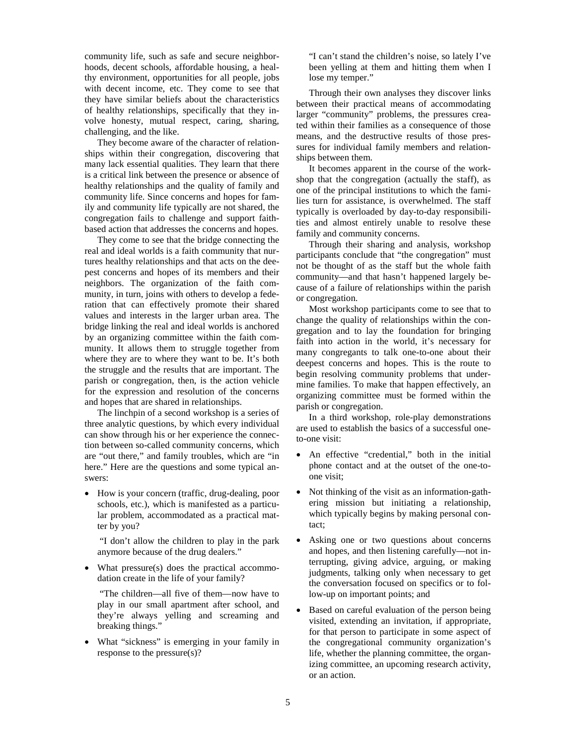community life, such as safe and secure neighborhoods, decent schools, affordable housing, a healthy environment, opportunities for all people, jobs with decent income, etc. They come to see that they have similar beliefs about the characteristics of healthy relationships, specifically that they involve honesty, mutual respect, caring, sharing, challenging, and the like.

They become aware of the character of relationships within their congregation, discovering that many lack essential qualities. They learn that there is a critical link between the presence or absence of healthy relationships and the quality of family and community life. Since concerns and hopes for family and community life typically are not shared, the congregation fails to challenge and support faithbased action that addresses the concerns and hopes.

They come to see that the bridge connecting the real and ideal worlds is a faith community that nurtures healthy relationships and that acts on the deepest concerns and hopes of its members and their neighbors. The organization of the faith community, in turn, joins with others to develop a federation that can effectively promote their shared values and interests in the larger urban area. The bridge linking the real and ideal worlds is anchored by an organizing committee within the faith community. It allows them to struggle together from where they are to where they want to be. It's both the struggle and the results that are important. The parish or congregation, then, is the action vehicle for the expression and resolution of the concerns and hopes that are shared in relationships.

The linchpin of a second workshop is a series of three analytic questions, by which every individual can show through his or her experience the connection between so-called community concerns, which are "out there," and family troubles, which are "in here." Here are the questions and some typical answers:

• How is your concern (traffic, drug-dealing, poor schools, etc.), which is manifested as a particular problem, accommodated as a practical matter by you?

"I don't allow the children to play in the park anymore because of the drug dealers."

What pressure(s) does the practical accommodation create in the life of your family?

"The children—all five of them—now have to play in our small apartment after school, and they're always yelling and screaming and breaking things."

• What "sickness" is emerging in your family in response to the pressure(s)?

"I can't stand the children's noise, so lately I've been yelling at them and hitting them when I lose my temper."

Through their own analyses they discover links between their practical means of accommodating larger "community" problems, the pressures created within their families as a consequence of those means, and the destructive results of those pressures for individual family members and relationships between them.

It becomes apparent in the course of the workshop that the congregation (actually the staff), as one of the principal institutions to which the families turn for assistance, is overwhelmed. The staff typically is overloaded by day-to-day responsibilities and almost entirely unable to resolve these family and community concerns.

Through their sharing and analysis, workshop participants conclude that "the congregation" must not be thought of as the staff but the whole faith community—and that hasn't happened largely because of a failure of relationships within the parish or congregation.

Most workshop participants come to see that to change the quality of relationships within the congregation and to lay the foundation for bringing faith into action in the world, it's necessary for many congregants to talk one-to-one about their deepest concerns and hopes. This is the route to begin resolving community problems that undermine families. To make that happen effectively, an organizing committee must be formed within the parish or congregation.

In a third workshop, role-play demonstrations are used to establish the basics of a successful oneto-one visit:

- An effective "credential," both in the initial phone contact and at the outset of the one-toone visit;
- Not thinking of the visit as an information-gathering mission but initiating a relationship, which typically begins by making personal contact;
- Asking one or two questions about concerns and hopes, and then listening carefully—not interrupting, giving advice, arguing, or making judgments, talking only when necessary to get the conversation focused on specifics or to follow-up on important points; and
- Based on careful evaluation of the person being visited, extending an invitation, if appropriate, for that person to participate in some aspect of the congregational community organization's life, whether the planning committee, the organizing committee, an upcoming research activity, or an action.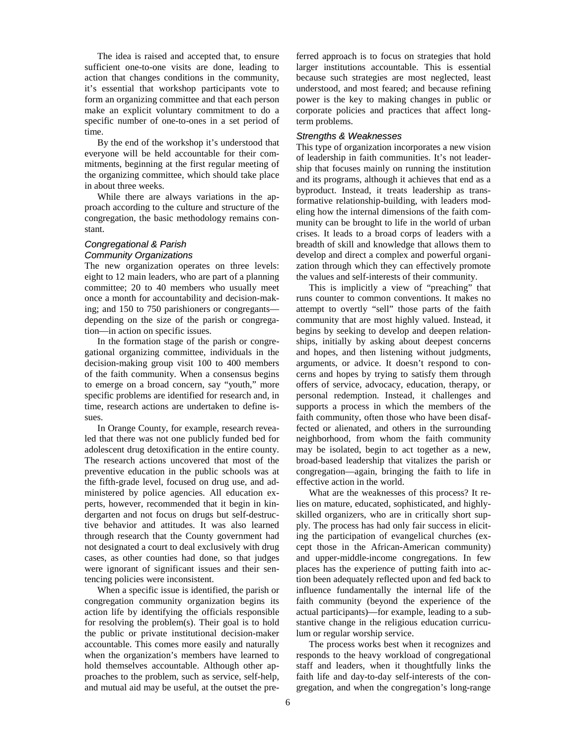The idea is raised and accepted that, to ensure sufficient one-to-one visits are done, leading to action that changes conditions in the community, it's essential that workshop participants vote to form an organizing committee and that each person make an explicit voluntary commitment to do a specific number of one-to-ones in a set period of time.

By the end of the workshop it's understood that everyone will be held accountable for their commitments, beginning at the first regular meeting of the organizing committee, which should take place in about three weeks.

While there are always variations in the approach according to the culture and structure of the congregation, the basic methodology remains constant.

### *Congregational & Parish Community Organizations*

The new organization operates on three levels: eight to 12 main leaders, who are part of a planning committee; 20 to 40 members who usually meet once a month for accountability and decision-making; and 150 to 750 parishioners or congregants depending on the size of the parish or congregation—in action on specific issues.

In the formation stage of the parish or congregational organizing committee, individuals in the decision-making group visit 100 to 400 members of the faith community. When a consensus begins to emerge on a broad concern, say "youth," more specific problems are identified for research and, in time, research actions are undertaken to define issues.

In Orange County, for example, research revealed that there was not one publicly funded bed for adolescent drug detoxification in the entire county. The research actions uncovered that most of the preventive education in the public schools was at the fifth-grade level, focused on drug use, and administered by police agencies. All education experts, however, recommended that it begin in kindergarten and not focus on drugs but self-destructive behavior and attitudes. It was also learned through research that the County government had not designated a court to deal exclusively with drug cases, as other counties had done, so that judges were ignorant of significant issues and their sentencing policies were inconsistent.

When a specific issue is identified, the parish or congregation community organization begins its action life by identifying the officials responsible for resolving the problem(s). Their goal is to hold the public or private institutional decision-maker accountable. This comes more easily and naturally when the organization's members have learned to hold themselves accountable. Although other approaches to the problem, such as service, self-help, and mutual aid may be useful, at the outset the preferred approach is to focus on strategies that hold larger institutions accountable. This is essential because such strategies are most neglected, least understood, and most feared; and because refining power is the key to making changes in public or corporate policies and practices that affect longterm problems.

#### *Strengths & Weaknesses*

This type of organization incorporates a new vision of leadership in faith communities. It's not leadership that focuses mainly on running the institution and its programs, although it achieves that end as a byproduct. Instead, it treats leadership as transformative relationship-building, with leaders modeling how the internal dimensions of the faith community can be brought to life in the world of urban crises. It leads to a broad corps of leaders with a breadth of skill and knowledge that allows them to develop and direct a complex and powerful organization through which they can effectively promote the values and self-interests of their community.

This is implicitly a view of "preaching" that runs counter to common conventions. It makes no attempt to overtly "sell" those parts of the faith community that are most highly valued. Instead, it begins by seeking to develop and deepen relationships, initially by asking about deepest concerns and hopes, and then listening without judgments, arguments, or advice. It doesn't respond to concerns and hopes by trying to satisfy them through offers of service, advocacy, education, therapy, or personal redemption. Instead, it challenges and supports a process in which the members of the faith community, often those who have been disaffected or alienated, and others in the surrounding neighborhood, from whom the faith community may be isolated, begin to act together as a new, broad-based leadership that vitalizes the parish or congregation—again, bringing the faith to life in effective action in the world.

What are the weaknesses of this process? It relies on mature, educated, sophisticated, and highlyskilled organizers, who are in critically short supply. The process has had only fair success in eliciting the participation of evangelical churches (except those in the African-American community) and upper-middle-income congregations. In few places has the experience of putting faith into action been adequately reflected upon and fed back to influence fundamentally the internal life of the faith community (beyond the experience of the actual participants)—for example, leading to a substantive change in the religious education curriculum or regular worship service.

The process works best when it recognizes and responds to the heavy workload of congregational staff and leaders, when it thoughtfully links the faith life and day-to-day self-interests of the congregation, and when the congregation's long-range